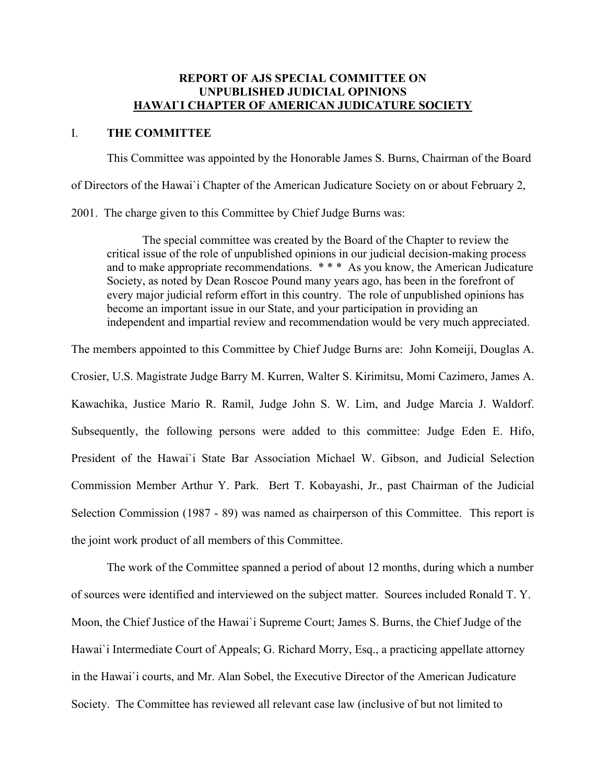#### **REPORT OF AJS SPECIAL COMMITTEE ON UNPUBLISHED JUDICIAL OPINIONS HAWAI`I CHAPTER OF AMERICAN JUDICATURE SOCIETY**

#### I. **THE COMMITTEE**

 This Committee was appointed by the Honorable James S. Burns, Chairman of the Board of Directors of the Hawai`i Chapter of the American Judicature Society on or about February 2, 2001. The charge given to this Committee by Chief Judge Burns was:

 The special committee was created by the Board of the Chapter to review the critical issue of the role of unpublished opinions in our judicial decision-making process and to make appropriate recommendations. \* \* \* As you know, the American Judicature Society, as noted by Dean Roscoe Pound many years ago, has been in the forefront of every major judicial reform effort in this country. The role of unpublished opinions has become an important issue in our State, and your participation in providing an independent and impartial review and recommendation would be very much appreciated.

The members appointed to this Committee by Chief Judge Burns are: John Komeiji, Douglas A.

Crosier, U.S. Magistrate Judge Barry M. Kurren, Walter S. Kirimitsu, Momi Cazimero, James A. Kawachika, Justice Mario R. Ramil, Judge John S. W. Lim, and Judge Marcia J. Waldorf. Subsequently, the following persons were added to this committee: Judge Eden E. Hifo, President of the Hawai`i State Bar Association Michael W. Gibson, and Judicial Selection Commission Member Arthur Y. Park. Bert T. Kobayashi, Jr., past Chairman of the Judicial Selection Commission (1987 - 89) was named as chairperson of this Committee. This report is the joint work product of all members of this Committee.

 The work of the Committee spanned a period of about 12 months, during which a number of sources were identified and interviewed on the subject matter. Sources included Ronald T. Y. Moon, the Chief Justice of the Hawai`i Supreme Court; James S. Burns, the Chief Judge of the Hawai`i Intermediate Court of Appeals; G. Richard Morry, Esq., a practicing appellate attorney in the Hawai`i courts, and Mr. Alan Sobel, the Executive Director of the American Judicature Society. The Committee has reviewed all relevant case law (inclusive of but not limited to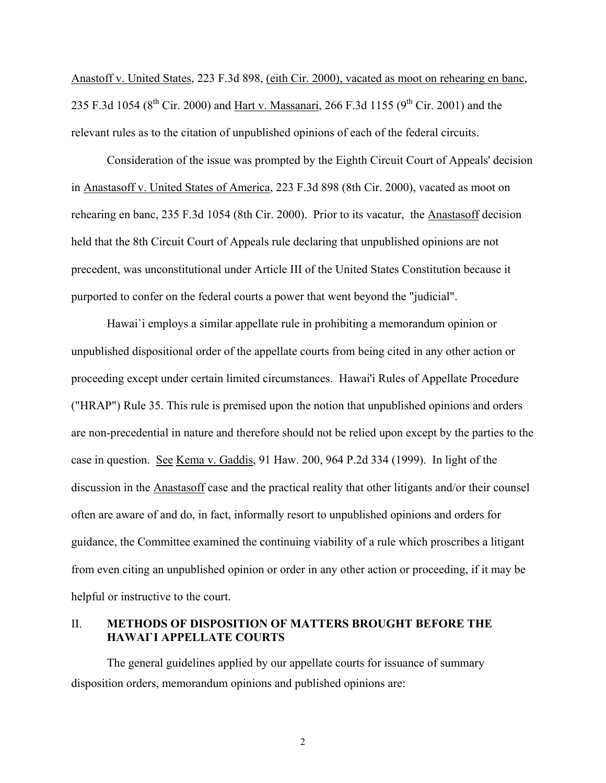Anastoff v. United States, 223 F.3d 898, (eith Cir. 2000), vacated as moot on rehearing en banc, 235 F.3d 1054 ( $8^{th}$  Cir. 2000) and Hart v. Massanari, 266 F.3d 1155 ( $9^{th}$  Cir. 2001) and the relevant rules as to the citation of unpublished opinions of each of the federal circuits.

 Consideration of the issue was prompted by the Eighth Circuit Court of Appeals' decision in Anastasoff v. United States of America, 223 F.3d 898 (8th Cir. 2000), vacated as moot on rehearing en banc, 235 F.3d 1054 (8th Cir. 2000). Prior to its vacatur, the Anastasoff decision held that the 8th Circuit Court of Appeals rule declaring that unpublished opinions are not precedent, was unconstitutional under Article III of the United States Constitution because it purported to confer on the federal courts a power that went beyond the "judicial".

 Hawai`i employs a similar appellate rule in prohibiting a memorandum opinion or unpublished dispositional order of the appellate courts from being cited in any other action or proceeding except under certain limited circumstances. Hawai'i Rules of Appellate Procedure ("HRAP") Rule 35. This rule is premised upon the notion that unpublished opinions and orders are non-precedential in nature and therefore should not be relied upon except by the parties to the case in question. See Kema v. Gaddis, 91 Haw. 200, 964 P.2d 334 (1999). In light of the discussion in the Anastasoff case and the practical reality that other litigants and/or their counsel often are aware of and do, in fact, informally resort to unpublished opinions and orders for guidance, the Committee examined the continuing viability of a rule which proscribes a litigant from even citing an unpublished opinion or order in any other action or proceeding, if it may be helpful or instructive to the court.

#### II. **METHODS OF DISPOSITION OF MATTERS BROUGHT BEFORE THE HAWAI`I APPELLATE COURTS**

 The general guidelines applied by our appellate courts for issuance of summary disposition orders, memorandum opinions and published opinions are: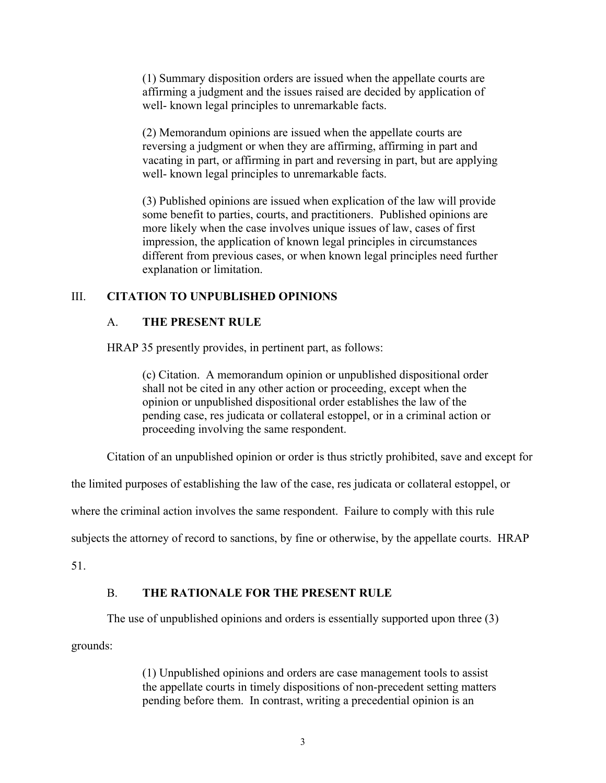(1) Summary disposition orders are issued when the appellate courts are affirming a judgment and the issues raised are decided by application of well- known legal principles to unremarkable facts.

(2) Memorandum opinions are issued when the appellate courts are reversing a judgment or when they are affirming, affirming in part and vacating in part, or affirming in part and reversing in part, but are applying well- known legal principles to unremarkable facts.

(3) Published opinions are issued when explication of the law will provide some benefit to parties, courts, and practitioners. Published opinions are more likely when the case involves unique issues of law, cases of first impression, the application of known legal principles in circumstances different from previous cases, or when known legal principles need further explanation or limitation.

### III. **CITATION TO UNPUBLISHED OPINIONS**

### A. **THE PRESENT RULE**

HRAP 35 presently provides, in pertinent part, as follows:

(c) Citation. A memorandum opinion or unpublished dispositional order shall not be cited in any other action or proceeding, except when the opinion or unpublished dispositional order establishes the law of the pending case, res judicata or collateral estoppel, or in a criminal action or proceeding involving the same respondent.

Citation of an unpublished opinion or order is thus strictly prohibited, save and except for

the limited purposes of establishing the law of the case, res judicata or collateral estoppel, or

where the criminal action involves the same respondent. Failure to comply with this rule

subjects the attorney of record to sanctions, by fine or otherwise, by the appellate courts. HRAP

51.

### B. **THE RATIONALE FOR THE PRESENT RULE**

The use of unpublished opinions and orders is essentially supported upon three (3)

grounds:

(1) Unpublished opinions and orders are case management tools to assist the appellate courts in timely dispositions of non-precedent setting matters pending before them. In contrast, writing a precedential opinion is an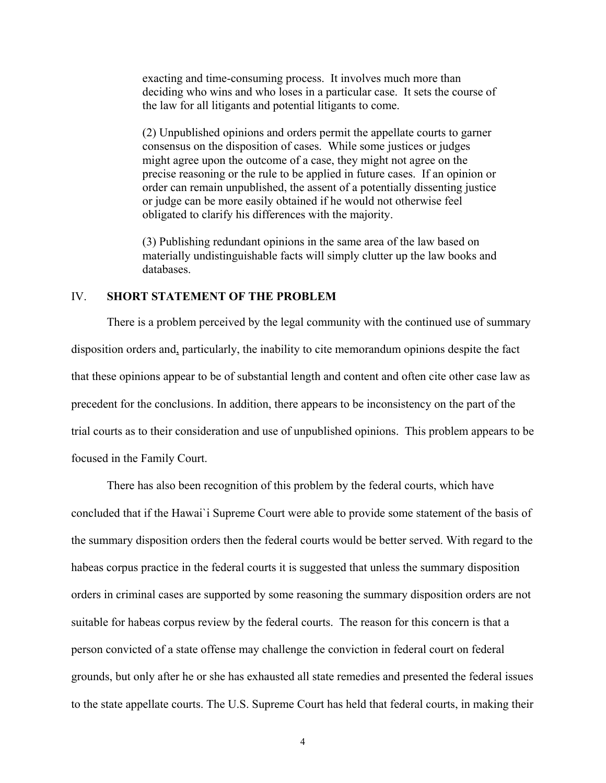exacting and time-consuming process. It involves much more than deciding who wins and who loses in a particular case. It sets the course of the law for all litigants and potential litigants to come.

(2) Unpublished opinions and orders permit the appellate courts to garner consensus on the disposition of cases. While some justices or judges might agree upon the outcome of a case, they might not agree on the precise reasoning or the rule to be applied in future cases. If an opinion or order can remain unpublished, the assent of a potentially dissenting justice or judge can be more easily obtained if he would not otherwise feel obligated to clarify his differences with the majority.

(3) Publishing redundant opinions in the same area of the law based on materially undistinguishable facts will simply clutter up the law books and databases.

#### IV. **SHORT STATEMENT OF THE PROBLEM**

There is a problem perceived by the legal community with the continued use of summary disposition orders and, particularly, the inability to cite memorandum opinions despite the fact that these opinions appear to be of substantial length and content and often cite other case law as precedent for the conclusions. In addition, there appears to be inconsistency on the part of the trial courts as to their consideration and use of unpublished opinions. This problem appears to be focused in the Family Court.

There has also been recognition of this problem by the federal courts, which have concluded that if the Hawai`i Supreme Court were able to provide some statement of the basis of the summary disposition orders then the federal courts would be better served. With regard to the habeas corpus practice in the federal courts it is suggested that unless the summary disposition orders in criminal cases are supported by some reasoning the summary disposition orders are not suitable for habeas corpus review by the federal courts. The reason for this concern is that a person convicted of a state offense may challenge the conviction in federal court on federal grounds, but only after he or she has exhausted all state remedies and presented the federal issues to the state appellate courts. The U.S. Supreme Court has held that federal courts, in making their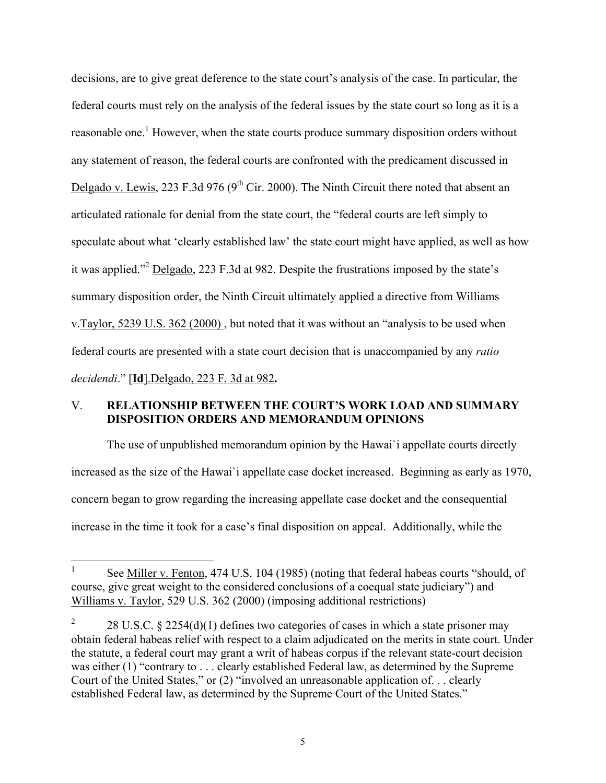decisions, are to give great deference to the state court's analysis of the case. In particular, the federal courts must rely on the analysis of the federal issues by the state court so long as it is a reasonable one.<sup>1</sup> However, when the state courts produce summary disposition orders without any statement of reason, the federal courts are confronted with the predicament discussed in Delgado v. Lewis, 223 F.3d 976 ( $9<sup>th</sup>$  Cir. 2000). The Ninth Circuit there noted that absent an articulated rationale for denial from the state court, the "federal courts are left simply to speculate about what 'clearly established law' the state court might have applied, as well as how it was applied."<sup>2</sup> Delgado, 223 F.3d at 982. Despite the frustrations imposed by the state's summary disposition order, the Ninth Circuit ultimately applied a directive from Williams v.Taylor, 5239 U.S. 362 (2000) , but noted that it was without an "analysis to be used when federal courts are presented with a state court decision that is unaccompanied by any *ratio decidendi*." [**Id**].Delgado, 223 F. 3d at 982**.** 

#### V. **RELATIONSHIP BETWEEN THE COURT'S WORK LOAD AND SUMMARY DISPOSITION ORDERS AND MEMORANDUM OPINIONS**

The use of unpublished memorandum opinion by the Hawai`i appellate courts directly increased as the size of the Hawai`i appellate case docket increased. Beginning as early as 1970, concern began to grow regarding the increasing appellate case docket and the consequential increase in the time it took for a case's final disposition on appeal. Additionally, while the

 $\frac{1}{1}$  See Miller v. Fenton, 474 U.S. 104 (1985) (noting that federal habeas courts "should, of course, give great weight to the considered conclusions of a coequal state judiciary") and Williams v. Taylor, 529 U.S. 362 (2000) (imposing additional restrictions)

<sup>2</sup> 28 U.S.C. § 2254(d)(1) defines two categories of cases in which a state prisoner may obtain federal habeas relief with respect to a claim adjudicated on the merits in state court. Under the statute, a federal court may grant a writ of habeas corpus if the relevant state-court decision was either (1) "contrary to . . . clearly established Federal law, as determined by the Supreme Court of the United States," or (2) "involved an unreasonable application of. . . clearly established Federal law, as determined by the Supreme Court of the United States."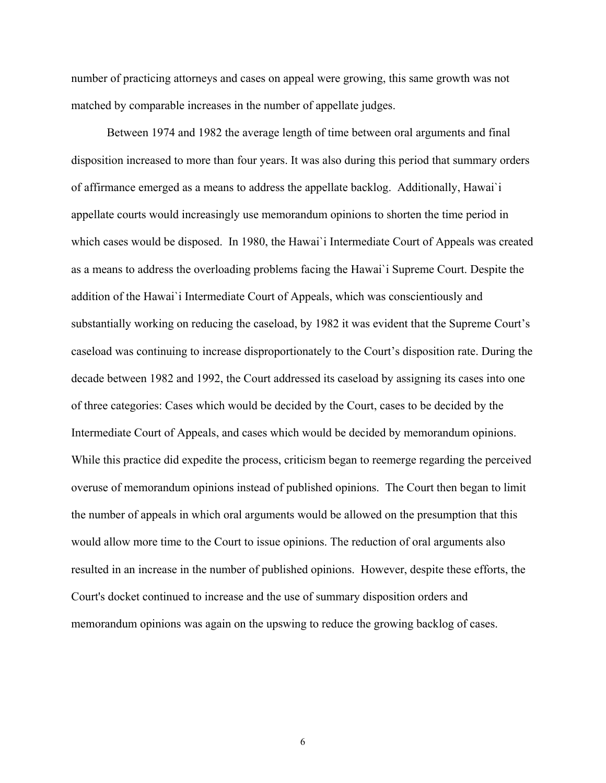number of practicing attorneys and cases on appeal were growing, this same growth was not matched by comparable increases in the number of appellate judges.

Between 1974 and 1982 the average length of time between oral arguments and final disposition increased to more than four years. It was also during this period that summary orders of affirmance emerged as a means to address the appellate backlog. Additionally, Hawai`i appellate courts would increasingly use memorandum opinions to shorten the time period in which cases would be disposed. In 1980, the Hawai'i Intermediate Court of Appeals was created as a means to address the overloading problems facing the Hawai`i Supreme Court. Despite the addition of the Hawai`i Intermediate Court of Appeals, which was conscientiously and substantially working on reducing the caseload, by 1982 it was evident that the Supreme Court's caseload was continuing to increase disproportionately to the Court's disposition rate. During the decade between 1982 and 1992, the Court addressed its caseload by assigning its cases into one of three categories: Cases which would be decided by the Court, cases to be decided by the Intermediate Court of Appeals, and cases which would be decided by memorandum opinions. While this practice did expedite the process, criticism began to reemerge regarding the perceived overuse of memorandum opinions instead of published opinions. The Court then began to limit the number of appeals in which oral arguments would be allowed on the presumption that this would allow more time to the Court to issue opinions. The reduction of oral arguments also resulted in an increase in the number of published opinions. However, despite these efforts, the Court's docket continued to increase and the use of summary disposition orders and memorandum opinions was again on the upswing to reduce the growing backlog of cases.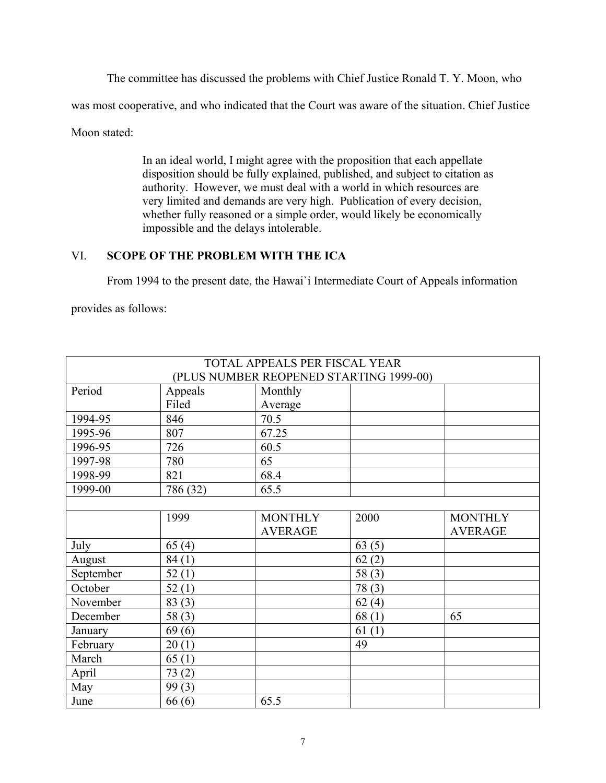The committee has discussed the problems with Chief Justice Ronald T. Y. Moon, who

was most cooperative, and who indicated that the Court was aware of the situation. Chief Justice

Moon stated:

In an ideal world, I might agree with the proposition that each appellate disposition should be fully explained, published, and subject to citation as authority. However, we must deal with a world in which resources are very limited and demands are very high. Publication of every decision, whether fully reasoned or a simple order, would likely be economically impossible and the delays intolerable.

## VI. **SCOPE OF THE PROBLEM WITH THE ICA**

From 1994 to the present date, the Hawai`i Intermediate Court of Appeals information

provides as follows:

|           |          | TOTAL APPEALS PER FISCAL YEAR           |          |                |
|-----------|----------|-----------------------------------------|----------|----------------|
|           |          | (PLUS NUMBER REOPENED STARTING 1999-00) |          |                |
| Period    | Appeals  | Monthly                                 |          |                |
|           | Filed    | Average                                 |          |                |
| 1994-95   | 846      | 70.5                                    |          |                |
| 1995-96   | 807      | 67.25                                   |          |                |
| 1996-95   | 726      | 60.5                                    |          |                |
| 1997-98   | 780      | 65                                      |          |                |
| 1998-99   | 821      | 68.4                                    |          |                |
| 1999-00   | 786 (32) | 65.5                                    |          |                |
|           |          |                                         |          |                |
|           | 1999     | <b>MONTHLY</b>                          | 2000     | <b>MONTHLY</b> |
|           |          | <b>AVERAGE</b>                          |          | <b>AVERAGE</b> |
| July      | 65(4)    |                                         | 63(5)    |                |
| August    | 84(1)    |                                         | 62(2)    |                |
| September | 52(1)    |                                         | 58 $(3)$ |                |
| October   | 52(1)    |                                         | 78(3)    |                |
| November  | 83(3)    |                                         | 62(4)    |                |
| December  | 58(3)    |                                         | 68(1)    | 65             |
| January   | 69(6)    |                                         | 61(1)    |                |
| February  | 20(1)    |                                         | 49       |                |
| March     | 65(1)    |                                         |          |                |
| April     | 73(2)    |                                         |          |                |
| May       | 99(3)    |                                         |          |                |
| June      | 66(6)    | 65.5                                    |          |                |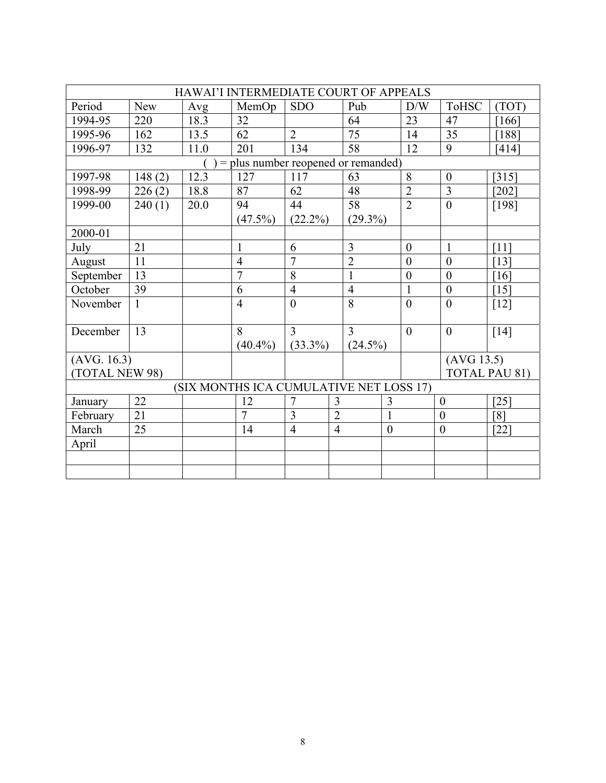| HAWAI'I INTERMEDIATE COURT OF APPEALS   |            |      |                |                |                |                 |                |                  |                  |                      |
|-----------------------------------------|------------|------|----------------|----------------|----------------|-----------------|----------------|------------------|------------------|----------------------|
| Period                                  | <b>New</b> | Avg  | MemOp          | <b>SDO</b>     |                | Pub             |                | D/W              | <b>ToHSC</b>     | (TOT)                |
| 1994-95                                 | 220        | 18.3 | 32             |                |                | 64              |                | 23               | 47               | [166]                |
| 1995-96                                 | 162        | 13.5 | 62             | $\overline{2}$ |                | $\overline{75}$ |                | 14               | 35               | [188]                |
| 1996-97                                 | 132        | 11.0 | 201            | 134            |                | 58              |                | 12               | 9                | [414]                |
| = plus number reopened or remanded)     |            |      |                |                |                |                 |                |                  |                  |                      |
| 1997-98                                 | 148(2)     | 12.3 | 127            | 117            |                | 63              |                | 8                | $\overline{0}$   | $[315]$              |
| 1998-99                                 | 226(2)     | 18.8 | 87             | 62             |                | 48              |                | $\overline{2}$   | 3                | $202$ ]              |
| 1999-00                                 | 240(1)     | 20.0 | 94             | 44             |                | 58              |                | $\overline{2}$   | $\theta$         | [198]                |
|                                         |            |      | $(47.5\%)$     | $(22.2\%)$     |                | $(29.3\%)$      |                |                  |                  |                      |
| 2000-01                                 |            |      |                |                |                |                 |                |                  |                  |                      |
| July                                    | 21         |      | $\mathbf{1}$   | 6              |                | $\overline{3}$  |                | $\boldsymbol{0}$ | $\mathbf{1}$     | [11]                 |
| August                                  | 11         |      | $\overline{4}$ | $\overline{7}$ |                | $\overline{2}$  |                | $\boldsymbol{0}$ | $\theta$         | [13]                 |
| September                               | 13         |      | $\overline{7}$ | 8              |                | $\mathbf{1}$    |                | $\mathbf{0}$     | $\overline{0}$   | $\lceil 16 \rceil$   |
| October                                 | 39         |      | 6              | $\overline{4}$ |                | $\overline{4}$  |                | $\mathbf{1}$     | $\mathbf{0}$     | $\lceil 15 \rceil$   |
| November                                | 1          |      | $\overline{4}$ | $\overline{0}$ |                | 8               |                | $\boldsymbol{0}$ | $\overline{0}$   | $[12]$               |
|                                         |            |      |                |                |                |                 |                |                  |                  |                      |
| December                                | 13         |      | 8              | 3              |                | 3               |                | $\theta$         | $\theta$         | [14]                 |
|                                         |            |      | $(40.4\%)$     | $(33.3\%)$     |                | $(24.5\%)$      |                |                  |                  |                      |
| (AVG. 16.3)                             |            |      |                |                |                |                 |                |                  | (AVG 13.5)       |                      |
| (TOTAL NEW 98)                          |            |      |                |                |                |                 |                |                  |                  | <b>TOTAL PAU 81)</b> |
| (SIX MONTHS ICA CUMULATIVE NET LOSS 17) |            |      |                |                |                |                 |                |                  |                  |                      |
| January                                 | 22         |      | 12             | $\overline{7}$ | 3              |                 | 3              |                  | $\boldsymbol{0}$ | $\left[25\right]$    |
| February                                | 21         |      | $\overline{7}$ | $\overline{3}$ | $\overline{2}$ |                 | $\mathbf{1}$   |                  | $\overline{0}$   | $\lceil 8 \rceil$    |
| March                                   | 25         |      | 14             | $\overline{4}$ | $\overline{4}$ |                 | $\overline{0}$ |                  | $\theta$         | $[22]$               |
| April                                   |            |      |                |                |                |                 |                |                  |                  |                      |
|                                         |            |      |                |                |                |                 |                |                  |                  |                      |
|                                         |            |      |                |                |                |                 |                |                  |                  |                      |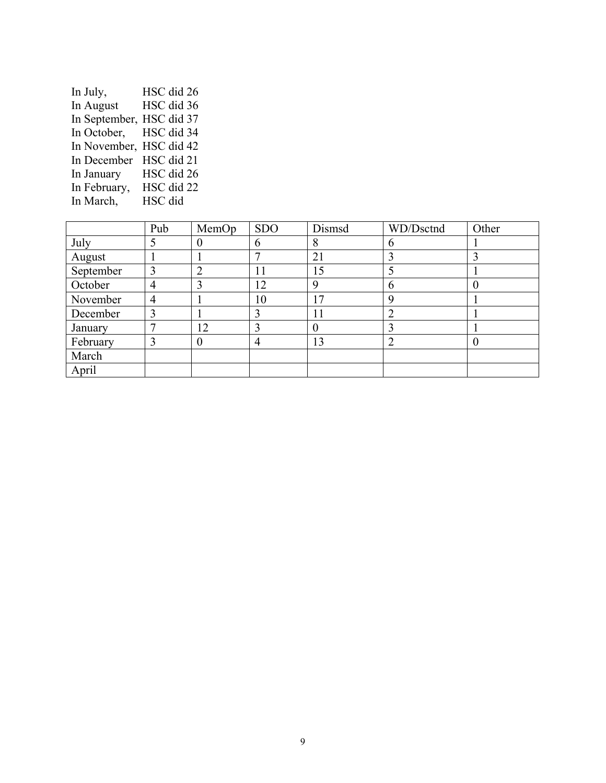| In July,                 | HSC did 26 |
|--------------------------|------------|
| In August                | HSC did 36 |
| In September, HSC did 37 |            |
| In October,              | HSC did 34 |
| In November, HSC did 42  |            |
| In December              | HSC did 21 |
| In January               | HSC did 26 |
| In February,             | HSC did 22 |
| In March,                | HSC did    |

|           | Pub | MemOp | <b>SDO</b> | Dismsd          | WD/Dsctnd | Other            |
|-----------|-----|-------|------------|-----------------|-----------|------------------|
| July      |     |       | 6          | 8               | h         |                  |
| August    |     |       |            | 21              |           |                  |
| September | 3   |       | 11         | 15              |           |                  |
| October   | 4   |       | 12         | 9               | 6         |                  |
| November  | 4   |       | 10         | $\overline{17}$ |           |                  |
| December  | 3   |       | 3          | 11              |           |                  |
| January   |     | 12    | 3          |                 |           |                  |
| February  |     | 0     | 4          | 13              |           | $\left( \right)$ |
| March     |     |       |            |                 |           |                  |
| April     |     |       |            |                 |           |                  |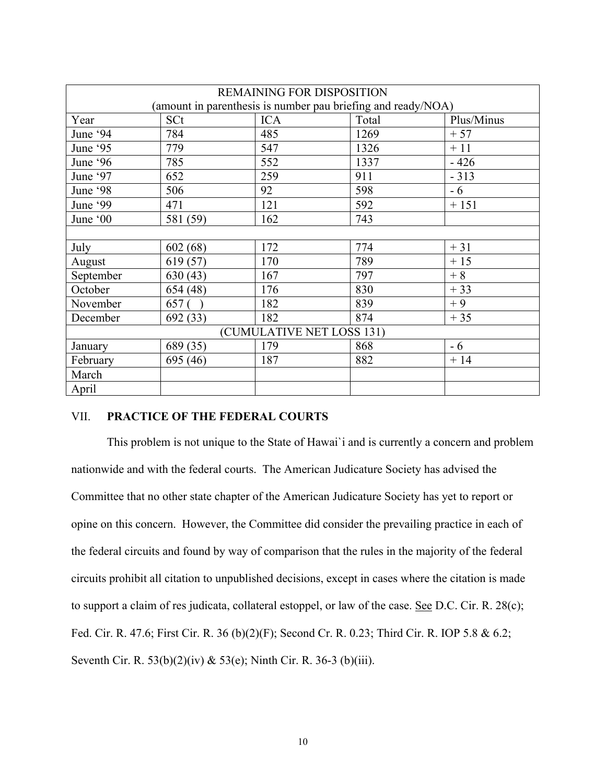| REMAINING FOR DISPOSITION                                    |          |            |       |            |  |  |  |
|--------------------------------------------------------------|----------|------------|-------|------------|--|--|--|
| (amount in parenthesis is number pau briefing and ready/NOA) |          |            |       |            |  |  |  |
| Year                                                         | SCt      | <b>ICA</b> | Total | Plus/Minus |  |  |  |
| June '94                                                     | 784      | 485        | 1269  | $+57$      |  |  |  |
| June '95                                                     | 779      | 547        | 1326  | $+11$      |  |  |  |
| June '96                                                     | 785      | 552        | 1337  | $-426$     |  |  |  |
| June '97                                                     | 652      | 259        | 911   | $-313$     |  |  |  |
| June '98                                                     | 506      | 92         | 598   | $-6$       |  |  |  |
| June '99                                                     | 471      | 121        | 592   | $+151$     |  |  |  |
| June '00                                                     | 581 (59) | 162        | 743   |            |  |  |  |
|                                                              |          |            |       |            |  |  |  |
| July                                                         | 602(68)  | 172        | 774   | $+31$      |  |  |  |
| August                                                       | 619 (57) | 170        | 789   | $+15$      |  |  |  |
| September                                                    | 630(43)  | 167        | 797   | $+8$       |  |  |  |
| October                                                      | 654 (48) | 176        | 830   | $+33$      |  |  |  |
| November                                                     | 657 (    | 182        | 839   | $+9$       |  |  |  |
| December                                                     | 692 (33) | 182        | 874   | $+35$      |  |  |  |
| (CUMULATIVE NET LOSS 131)                                    |          |            |       |            |  |  |  |
| January                                                      | 689 (35) | 179        | 868   | $-6$       |  |  |  |
| February                                                     | 695 (46) | 187        | 882   | $+14$      |  |  |  |
| March                                                        |          |            |       |            |  |  |  |
| April                                                        |          |            |       |            |  |  |  |

#### VII. **PRACTICE OF THE FEDERAL COURTS**

This problem is not unique to the State of Hawai`i and is currently a concern and problem nationwide and with the federal courts. The American Judicature Society has advised the Committee that no other state chapter of the American Judicature Society has yet to report or opine on this concern. However, the Committee did consider the prevailing practice in each of the federal circuits and found by way of comparison that the rules in the majority of the federal circuits prohibit all citation to unpublished decisions, except in cases where the citation is made to support a claim of res judicata, collateral estoppel, or law of the case. See D.C. Cir. R. 28(c); Fed. Cir. R. 47.6; First Cir. R. 36 (b)(2)(F); Second Cr. R. 0.23; Third Cir. R. IOP 5.8 & 6.2; Seventh Cir. R. 53(b)(2)(iv) & 53(e); Ninth Cir. R. 36-3 (b)(iii).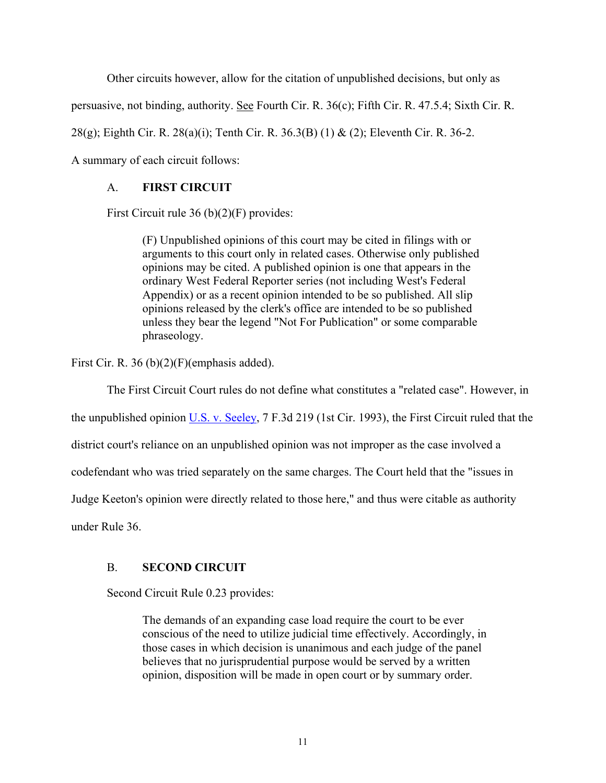Other circuits however, allow for the citation of unpublished decisions, but only as

persuasive, not binding, authority. See Fourth Cir. R. 36(c); Fifth Cir. R. 47.5.4; Sixth Cir. R.

28(g); Eighth Cir. R. 28(a)(i); Tenth Cir. R. 36.3(B) (1) & (2); Eleventh Cir. R. 36-2.

A summary of each circuit follows:

## A. **FIRST CIRCUIT**

First Circuit rule 36 (b)(2)(F) provides:

(F) Unpublished opinions of this court may be cited in filings with or arguments to this court only in related cases. Otherwise only published opinions may be cited. A published opinion is one that appears in the ordinary West Federal Reporter series (not including West's Federal Appendix) or as a recent opinion intended to be so published. All slip opinions released by the clerk's office are intended to be so published unless they bear the legend "Not For Publication" or some comparable phraseology.

First Cir. R. 36 (b)(2)(F)(emphasis added).

The First Circuit Court rules do not define what constitutes a "related case". However, in

the unpublished opinion U.S. v. Seeley, 7 F.3d 219 (1st Cir. 1993), the First Circuit ruled that the

district court's reliance on an unpublished opinion was not improper as the case involved a

codefendant who was tried separately on the same charges. The Court held that the "issues in

Judge Keeton's opinion were directly related to those here," and thus were citable as authority

under Rule 36.

# B. **SECOND CIRCUIT**

Second Circuit Rule 0.23 provides:

The demands of an expanding case load require the court to be ever conscious of the need to utilize judicial time effectively. Accordingly, in those cases in which decision is unanimous and each judge of the panel believes that no jurisprudential purpose would be served by a written opinion, disposition will be made in open court or by summary order.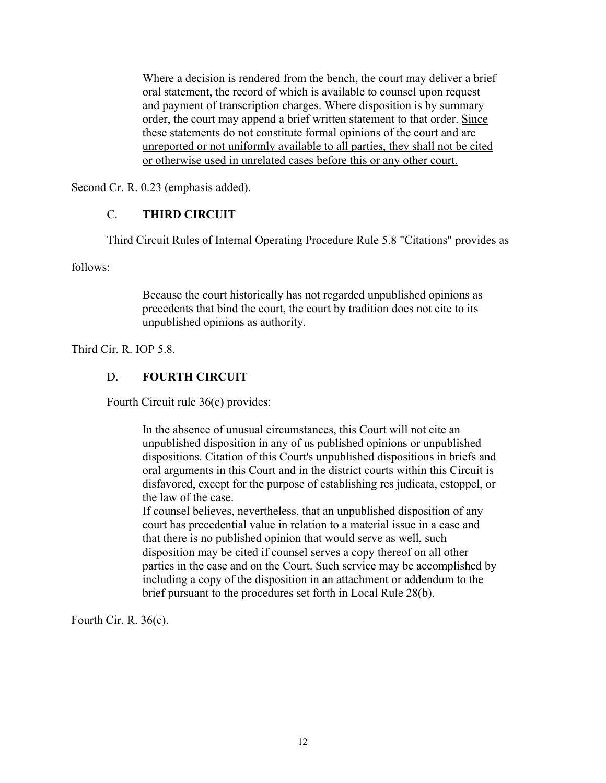Where a decision is rendered from the bench, the court may deliver a brief oral statement, the record of which is available to counsel upon request and payment of transcription charges. Where disposition is by summary order, the court may append a brief written statement to that order. Since these statements do not constitute formal opinions of the court and are unreported or not uniformly available to all parties, they shall not be cited or otherwise used in unrelated cases before this or any other court.

Second Cr. R. 0.23 (emphasis added).

### C. **THIRD CIRCUIT**

Third Circuit Rules of Internal Operating Procedure Rule 5.8 "Citations" provides as

follows:

Because the court historically has not regarded unpublished opinions as precedents that bind the court, the court by tradition does not cite to its unpublished opinions as authority.

Third Cir. R. IOP 5.8.

## D. **FOURTH CIRCUIT**

Fourth Circuit rule 36(c) provides:

In the absence of unusual circumstances, this Court will not cite an unpublished disposition in any of us published opinions or unpublished dispositions. Citation of this Court's unpublished dispositions in briefs and oral arguments in this Court and in the district courts within this Circuit is disfavored, except for the purpose of establishing res judicata, estoppel, or the law of the case.

If counsel believes, nevertheless, that an unpublished disposition of any court has precedential value in relation to a material issue in a case and that there is no published opinion that would serve as well, such disposition may be cited if counsel serves a copy thereof on all other parties in the case and on the Court. Such service may be accomplished by including a copy of the disposition in an attachment or addendum to the brief pursuant to the procedures set forth in Local Rule 28(b).

Fourth Cir. R. 36(c).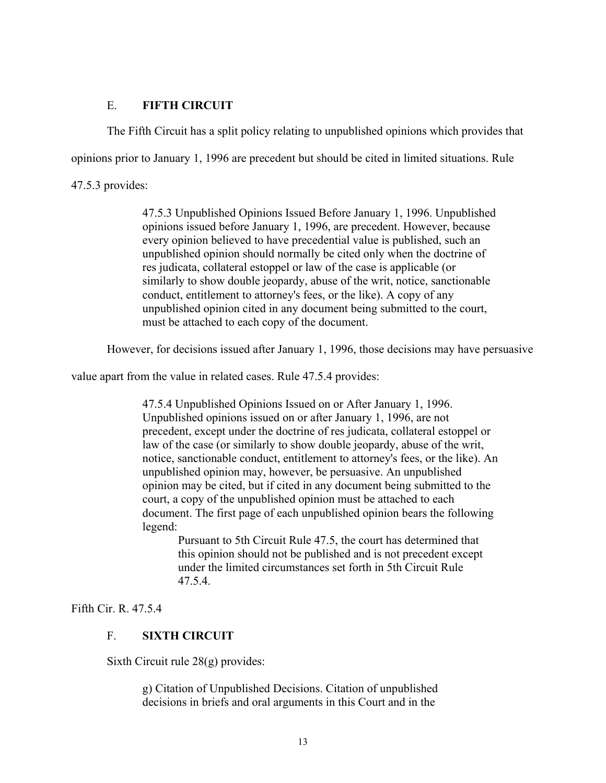### E. **FIFTH CIRCUIT**

The Fifth Circuit has a split policy relating to unpublished opinions which provides that

opinions prior to January 1, 1996 are precedent but should be cited in limited situations. Rule

47.5.3 provides:

47.5.3 Unpublished Opinions Issued Before January 1, 1996. Unpublished opinions issued before January 1, 1996, are precedent. However, because every opinion believed to have precedential value is published, such an unpublished opinion should normally be cited only when the doctrine of res judicata, collateral estoppel or law of the case is applicable (or similarly to show double jeopardy, abuse of the writ, notice, sanctionable conduct, entitlement to attorney's fees, or the like). A copy of any unpublished opinion cited in any document being submitted to the court, must be attached to each copy of the document.

However, for decisions issued after January 1, 1996, those decisions may have persuasive

value apart from the value in related cases. Rule 47.5.4 provides:

47.5.4 Unpublished Opinions Issued on or After January 1, 1996. Unpublished opinions issued on or after January 1, 1996, are not precedent, except under the doctrine of res judicata, collateral estoppel or law of the case (or similarly to show double jeopardy, abuse of the writ, notice, sanctionable conduct, entitlement to attorney's fees, or the like). An unpublished opinion may, however, be persuasive. An unpublished opinion may be cited, but if cited in any document being submitted to the court, a copy of the unpublished opinion must be attached to each document. The first page of each unpublished opinion bears the following legend:

Pursuant to 5th Circuit Rule 47.5, the court has determined that this opinion should not be published and is not precedent except under the limited circumstances set forth in 5th Circuit Rule 47.5.4.

### Fifth Cir. R. 47.5.4

### F. **SIXTH CIRCUIT**

Sixth Circuit rule 28(g) provides:

g) Citation of Unpublished Decisions. Citation of unpublished decisions in briefs and oral arguments in this Court and in the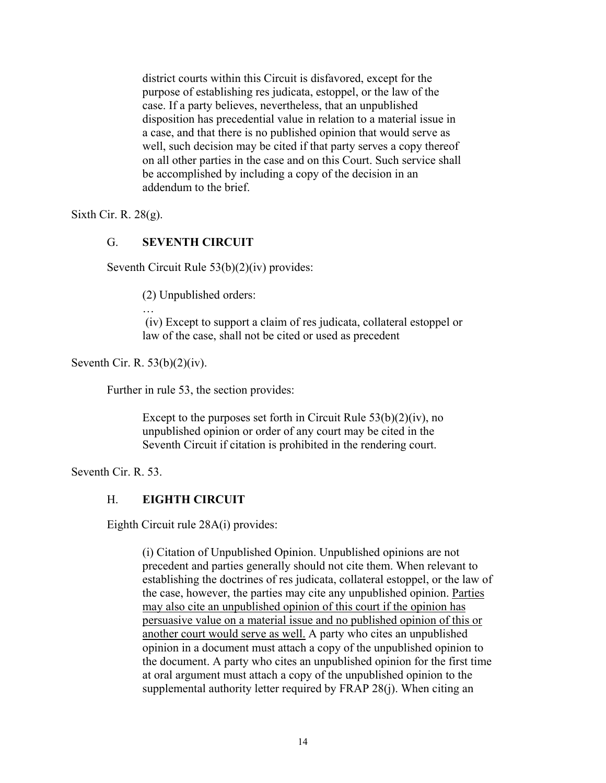district courts within this Circuit is disfavored, except for the purpose of establishing res judicata, estoppel, or the law of the case. If a party believes, nevertheless, that an unpublished disposition has precedential value in relation to a material issue in a case, and that there is no published opinion that would serve as well, such decision may be cited if that party serves a copy thereof on all other parties in the case and on this Court. Such service shall be accomplished by including a copy of the decision in an addendum to the brief.

Sixth Cir. R. 28(g).

#### G. **SEVENTH CIRCUIT**

Seventh Circuit Rule 53(b)(2)(iv) provides:

(2) Unpublished orders:

…

 (iv) Except to support a claim of res judicata, collateral estoppel or law of the case, shall not be cited or used as precedent

Seventh Cir. R. 53(b)(2)(iv).

Further in rule 53, the section provides:

Except to the purposes set forth in Circuit Rule  $53(b)(2)(iv)$ , no unpublished opinion or order of any court may be cited in the Seventh Circuit if citation is prohibited in the rendering court.

Seventh Cir. R. 53.

#### H. **EIGHTH CIRCUIT**

Eighth Circuit rule 28A(i) provides:

(i) Citation of Unpublished Opinion. Unpublished opinions are not precedent and parties generally should not cite them. When relevant to establishing the doctrines of res judicata, collateral estoppel, or the law of the case, however, the parties may cite any unpublished opinion. Parties may also cite an unpublished opinion of this court if the opinion has persuasive value on a material issue and no published opinion of this or another court would serve as well. A party who cites an unpublished opinion in a document must attach a copy of the unpublished opinion to the document. A party who cites an unpublished opinion for the first time at oral argument must attach a copy of the unpublished opinion to the supplemental authority letter required by FRAP 28(j). When citing an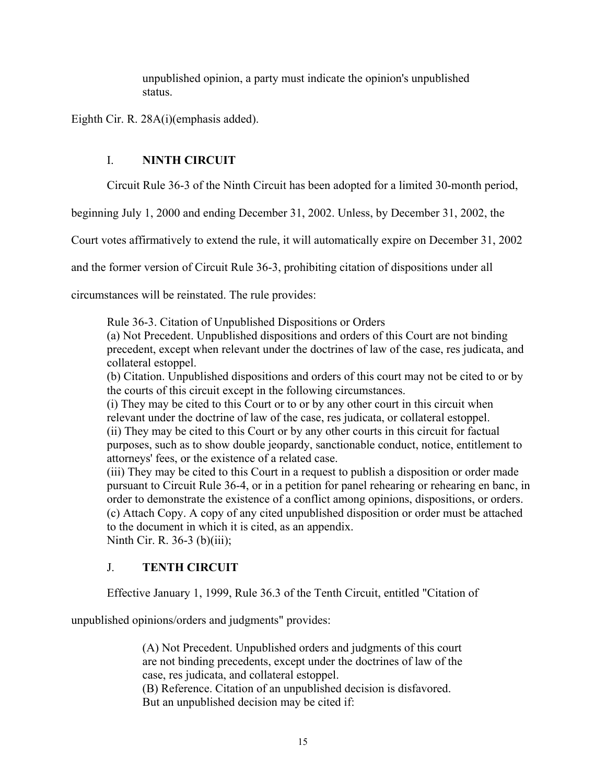unpublished opinion, a party must indicate the opinion's unpublished status.

Eighth Cir. R. 28A(i)(emphasis added).

### I. **NINTH CIRCUIT**

Circuit Rule 36-3 of the Ninth Circuit has been adopted for a limited 30-month period,

beginning July 1, 2000 and ending December 31, 2002. Unless, by December 31, 2002, the

Court votes affirmatively to extend the rule, it will automatically expire on December 31, 2002

and the former version of Circuit Rule 36-3, prohibiting citation of dispositions under all

circumstances will be reinstated. The rule provides:

Rule 36-3. Citation of Unpublished Dispositions or Orders

(a) Not Precedent. Unpublished dispositions and orders of this Court are not binding precedent, except when relevant under the doctrines of law of the case, res judicata, and collateral estoppel.

(b) Citation. Unpublished dispositions and orders of this court may not be cited to or by the courts of this circuit except in the following circumstances.

(i) They may be cited to this Court or to or by any other court in this circuit when relevant under the doctrine of law of the case, res judicata, or collateral estoppel. (ii) They may be cited to this Court or by any other courts in this circuit for factual purposes, such as to show double jeopardy, sanctionable conduct, notice, entitlement to attorneys' fees, or the existence of a related case.

(iii) They may be cited to this Court in a request to publish a disposition or order made pursuant to Circuit Rule 36-4, or in a petition for panel rehearing or rehearing en banc, in order to demonstrate the existence of a conflict among opinions, dispositions, or orders. (c) Attach Copy. A copy of any cited unpublished disposition or order must be attached to the document in which it is cited, as an appendix. Ninth Cir. R. 36-3 (b)(iii);

### J. **TENTH CIRCUIT**

Effective January 1, 1999, Rule 36.3 of the Tenth Circuit, entitled "Citation of

unpublished opinions/orders and judgments" provides:

(A) Not Precedent. Unpublished orders and judgments of this court are not binding precedents, except under the doctrines of law of the case, res judicata, and collateral estoppel. (B) Reference. Citation of an unpublished decision is disfavored. But an unpublished decision may be cited if: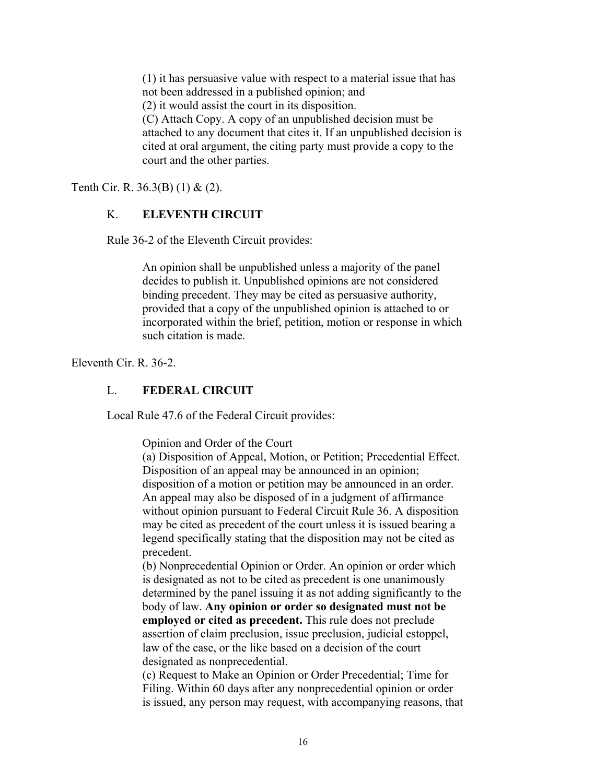(1) it has persuasive value with respect to a material issue that has not been addressed in a published opinion; and (2) it would assist the court in its disposition. (C) Attach Copy. A copy of an unpublished decision must be attached to any document that cites it. If an unpublished decision is

cited at oral argument, the citing party must provide a copy to the court and the other parties.

Tenth Cir. R. 36.3(B) (1) & (2).

### K. **ELEVENTH CIRCUIT**

Rule 36-2 of the Eleventh Circuit provides:

An opinion shall be unpublished unless a majority of the panel decides to publish it. Unpublished opinions are not considered binding precedent. They may be cited as persuasive authority, provided that a copy of the unpublished opinion is attached to or incorporated within the brief, petition, motion or response in which such citation is made.

Eleventh Cir. R. 36-2.

#### L. **FEDERAL CIRCUIT**

Local Rule 47.6 of the Federal Circuit provides:

Opinion and Order of the Court

(a) Disposition of Appeal, Motion, or Petition; Precedential Effect. Disposition of an appeal may be announced in an opinion; disposition of a motion or petition may be announced in an order. An appeal may also be disposed of in a judgment of affirmance without opinion pursuant to Federal Circuit Rule 36. A disposition may be cited as precedent of the court unless it is issued bearing a legend specifically stating that the disposition may not be cited as precedent.

(b) Nonprecedential Opinion or Order. An opinion or order which is designated as not to be cited as precedent is one unanimously determined by the panel issuing it as not adding significantly to the body of law. **Any opinion or order so designated must not be employed or cited as precedent.** This rule does not preclude assertion of claim preclusion, issue preclusion, judicial estoppel, law of the case, or the like based on a decision of the court designated as nonprecedential.

(c) Request to Make an Opinion or Order Precedential; Time for Filing. Within 60 days after any nonprecedential opinion or order is issued, any person may request, with accompanying reasons, that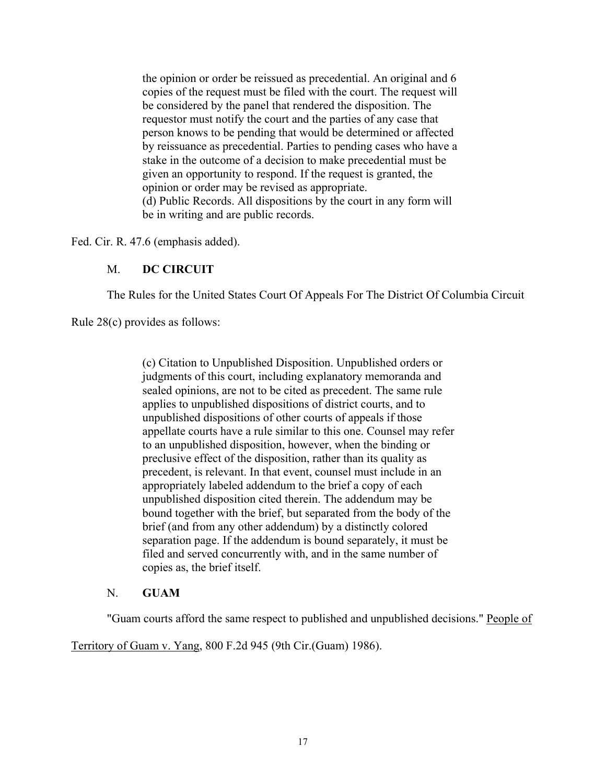the opinion or order be reissued as precedential. An original and 6 copies of the request must be filed with the court. The request will be considered by the panel that rendered the disposition. The requestor must notify the court and the parties of any case that person knows to be pending that would be determined or affected by reissuance as precedential. Parties to pending cases who have a stake in the outcome of a decision to make precedential must be given an opportunity to respond. If the request is granted, the opinion or order may be revised as appropriate. (d) Public Records. All dispositions by the court in any form will be in writing and are public records.

Fed. Cir. R. 47.6 (emphasis added).

### M. **DC CIRCUIT**

The Rules for the United States Court Of Appeals For The District Of Columbia Circuit

Rule 28(c) provides as follows:

(c) Citation to Unpublished Disposition. Unpublished orders or judgments of this court, including explanatory memoranda and sealed opinions, are not to be cited as precedent. The same rule applies to unpublished dispositions of district courts, and to unpublished dispositions of other courts of appeals if those appellate courts have a rule similar to this one. Counsel may refer to an unpublished disposition, however, when the binding or preclusive effect of the disposition, rather than its quality as precedent, is relevant. In that event, counsel must include in an appropriately labeled addendum to the brief a copy of each unpublished disposition cited therein. The addendum may be bound together with the brief, but separated from the body of the brief (and from any other addendum) by a distinctly colored separation page. If the addendum is bound separately, it must be filed and served concurrently with, and in the same number of copies as, the brief itself.

#### N. **GUAM**

"Guam courts afford the same respect to published and unpublished decisions." People of

Territory of Guam v. Yang, 800 F.2d 945 (9th Cir.(Guam) 1986).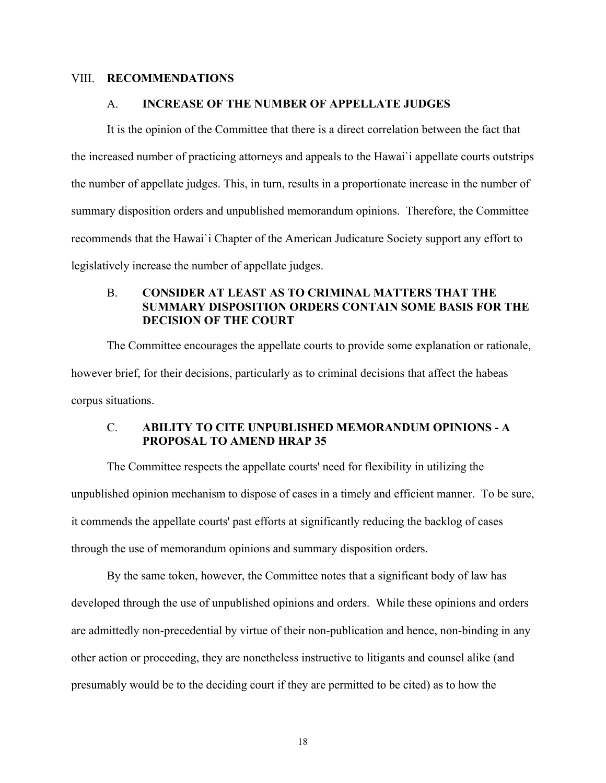#### VIII. **RECOMMENDATIONS**

#### A. **INCREASE OF THE NUMBER OF APPELLATE JUDGES**

It is the opinion of the Committee that there is a direct correlation between the fact that the increased number of practicing attorneys and appeals to the Hawai`i appellate courts outstrips the number of appellate judges. This, in turn, results in a proportionate increase in the number of summary disposition orders and unpublished memorandum opinions. Therefore, the Committee recommends that the Hawai`i Chapter of the American Judicature Society support any effort to legislatively increase the number of appellate judges.

### B. **CONSIDER AT LEAST AS TO CRIMINAL MATTERS THAT THE SUMMARY DISPOSITION ORDERS CONTAIN SOME BASIS FOR THE DECISION OF THE COURT**

The Committee encourages the appellate courts to provide some explanation or rationale, however brief, for their decisions, particularly as to criminal decisions that affect the habeas corpus situations.

### C. **ABILITY TO CITE UNPUBLISHED MEMORANDUM OPINIONS - A PROPOSAL TO AMEND HRAP 35**

The Committee respects the appellate courts' need for flexibility in utilizing the unpublished opinion mechanism to dispose of cases in a timely and efficient manner. To be sure, it commends the appellate courts' past efforts at significantly reducing the backlog of cases through the use of memorandum opinions and summary disposition orders.

 By the same token, however, the Committee notes that a significant body of law has developed through the use of unpublished opinions and orders. While these opinions and orders are admittedly non-precedential by virtue of their non-publication and hence, non-binding in any other action or proceeding, they are nonetheless instructive to litigants and counsel alike (and presumably would be to the deciding court if they are permitted to be cited) as to how the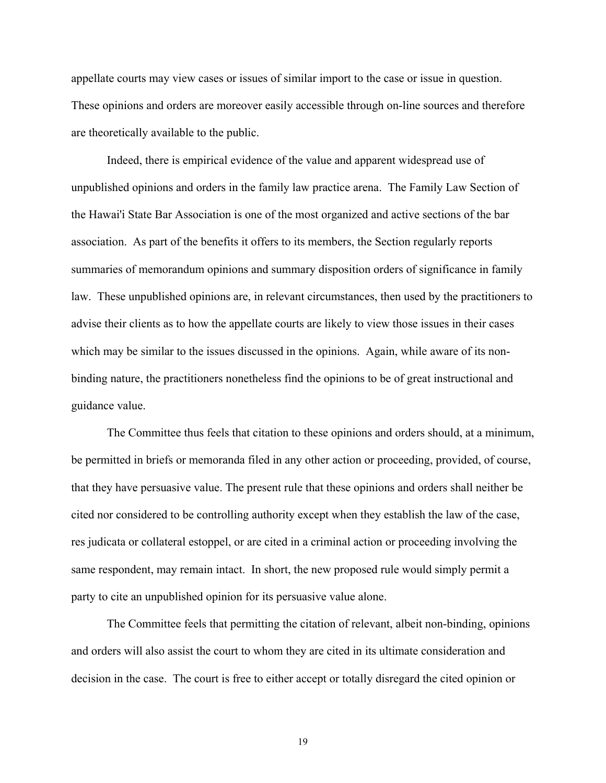appellate courts may view cases or issues of similar import to the case or issue in question. These opinions and orders are moreover easily accessible through on-line sources and therefore are theoretically available to the public.

 Indeed, there is empirical evidence of the value and apparent widespread use of unpublished opinions and orders in the family law practice arena. The Family Law Section of the Hawai'i State Bar Association is one of the most organized and active sections of the bar association. As part of the benefits it offers to its members, the Section regularly reports summaries of memorandum opinions and summary disposition orders of significance in family law. These unpublished opinions are, in relevant circumstances, then used by the practitioners to advise their clients as to how the appellate courts are likely to view those issues in their cases which may be similar to the issues discussed in the opinions. Again, while aware of its nonbinding nature, the practitioners nonetheless find the opinions to be of great instructional and guidance value.

 The Committee thus feels that citation to these opinions and orders should, at a minimum, be permitted in briefs or memoranda filed in any other action or proceeding, provided, of course, that they have persuasive value. The present rule that these opinions and orders shall neither be cited nor considered to be controlling authority except when they establish the law of the case, res judicata or collateral estoppel, or are cited in a criminal action or proceeding involving the same respondent, may remain intact. In short, the new proposed rule would simply permit a party to cite an unpublished opinion for its persuasive value alone.

 The Committee feels that permitting the citation of relevant, albeit non-binding, opinions and orders will also assist the court to whom they are cited in its ultimate consideration and decision in the case. The court is free to either accept or totally disregard the cited opinion or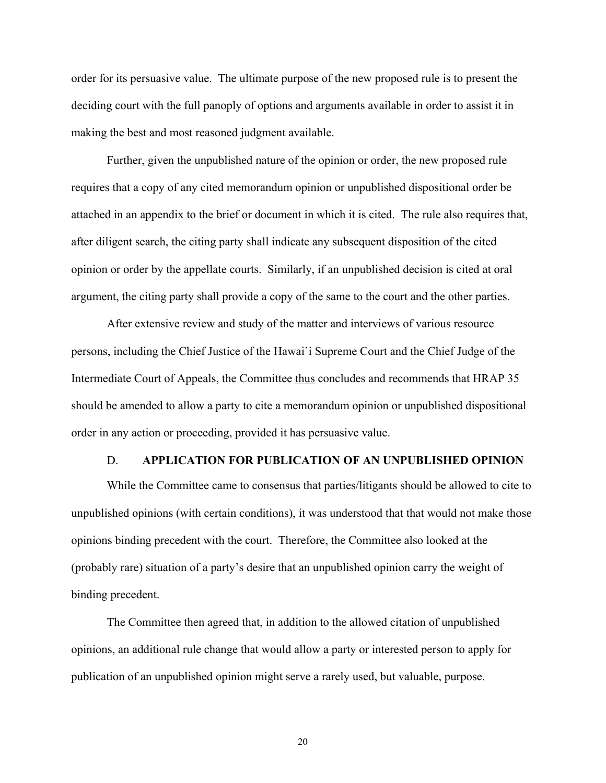order for its persuasive value. The ultimate purpose of the new proposed rule is to present the deciding court with the full panoply of options and arguments available in order to assist it in making the best and most reasoned judgment available.

 Further, given the unpublished nature of the opinion or order, the new proposed rule requires that a copy of any cited memorandum opinion or unpublished dispositional order be attached in an appendix to the brief or document in which it is cited. The rule also requires that, after diligent search, the citing party shall indicate any subsequent disposition of the cited opinion or order by the appellate courts. Similarly, if an unpublished decision is cited at oral argument, the citing party shall provide a copy of the same to the court and the other parties.

 After extensive review and study of the matter and interviews of various resource persons, including the Chief Justice of the Hawai`i Supreme Court and the Chief Judge of the Intermediate Court of Appeals, the Committee thus concludes and recommends that HRAP 35 should be amended to allow a party to cite a memorandum opinion or unpublished dispositional order in any action or proceeding, provided it has persuasive value.

#### D. **APPLICATION FOR PUBLICATION OF AN UNPUBLISHED OPINION**

 While the Committee came to consensus that parties/litigants should be allowed to cite to unpublished opinions (with certain conditions), it was understood that that would not make those opinions binding precedent with the court. Therefore, the Committee also looked at the (probably rare) situation of a party's desire that an unpublished opinion carry the weight of binding precedent.

 The Committee then agreed that, in addition to the allowed citation of unpublished opinions, an additional rule change that would allow a party or interested person to apply for publication of an unpublished opinion might serve a rarely used, but valuable, purpose.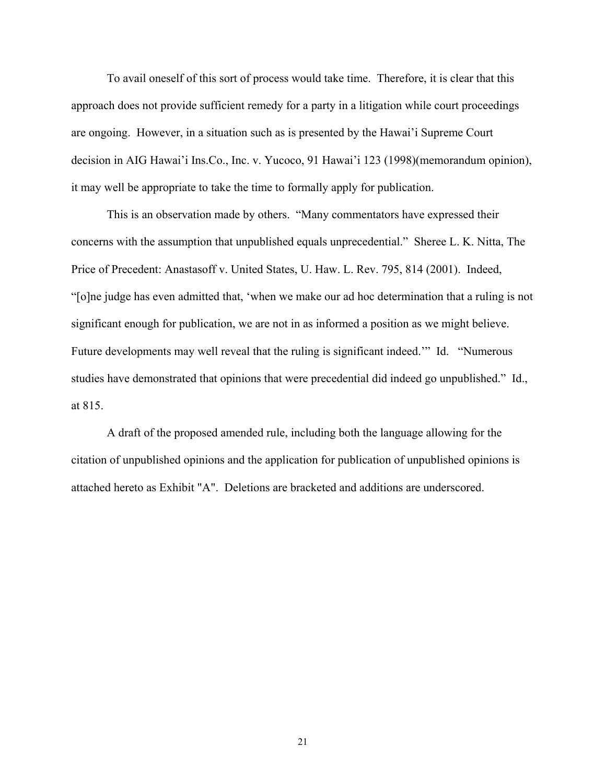To avail oneself of this sort of process would take time. Therefore, it is clear that this approach does not provide sufficient remedy for a party in a litigation while court proceedings are ongoing. However, in a situation such as is presented by the Hawai'i Supreme Court decision in AIG Hawai'i Ins.Co., Inc. v. Yucoco, 91 Hawai'i 123 (1998)(memorandum opinion), it may well be appropriate to take the time to formally apply for publication.

 This is an observation made by others. "Many commentators have expressed their concerns with the assumption that unpublished equals unprecedential." Sheree L. K. Nitta, The Price of Precedent: Anastasoff v. United States, U. Haw. L. Rev. 795, 814 (2001). Indeed, "[o]ne judge has even admitted that, 'when we make our ad hoc determination that a ruling is not significant enough for publication, we are not in as informed a position as we might believe. Future developments may well reveal that the ruling is significant indeed.'" Id. "Numerous studies have demonstrated that opinions that were precedential did indeed go unpublished." Id., at 815.

 A draft of the proposed amended rule, including both the language allowing for the citation of unpublished opinions and the application for publication of unpublished opinions is attached hereto as Exhibit "A". Deletions are bracketed and additions are underscored.